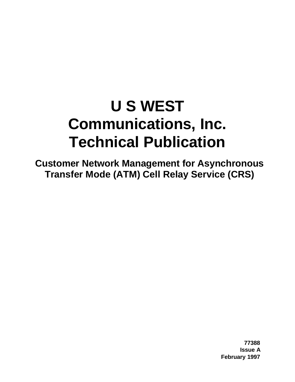# **U S WEST Communications, Inc. Technical Publication**

**Customer Network Management for Asynchronous Transfer Mode (ATM) Cell Relay Service (CRS)**

> **77388 Issue A February 1997**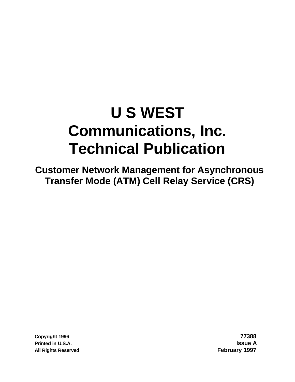# **U S WEST Communications, Inc. Technical Publication**

**Customer Network Management for Asynchronous Transfer Mode (ATM) Cell Relay Service (CRS)**

**Copyright 1996 77388 Printed in U.S.A. Issue A All Rights Reserved February 1997**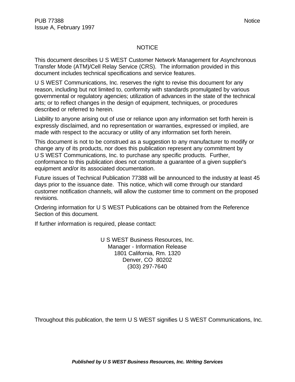#### NOTICE

This document describes U S WEST Customer Network Management for Asynchronous Transfer Mode (ATM)/Cell Relay Service (CRS). The information provided in this document includes technical specifications and service features.

U S WEST Communications, Inc. reserves the right to revise this document for any reason, including but not limited to, conformity with standards promulgated by various governmental or regulatory agencies; utilization of advances in the state of the technical arts; or to reflect changes in the design of equipment, techniques, or procedures described or referred to herein.

Liability to anyone arising out of use or reliance upon any information set forth herein is expressly disclaimed, and no representation or warranties, expressed or implied, are made with respect to the accuracy or utility of any information set forth herein.

This document is not to be construed as a suggestion to any manufacturer to modify or change any of its products, nor does this publication represent any commitment by U S WEST Communications, Inc. to purchase any specific products. Further, conformance to this publication does not constitute a guarantee of a given supplier's equipment and/or its associated documentation.

Future issues of Technical Publication 77388 will be announced to the industry at least 45 days prior to the issuance date. This notice, which will come through our standard customer notification channels, will allow the customer time to comment on the proposed revisions.

Ordering information for U S WEST Publications can be obtained from the Reference Section of this document.

If further information is required, please contact:

U S WEST Business Resources, Inc. Manager - Information Release 1801 California, Rm. 1320 Denver, CO 80202 (303) 297-7640

Throughout this publication, the term U S WEST signifies U S WEST Communications, Inc.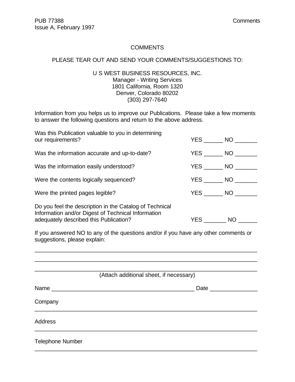#### **COMMENTS**

#### PLEASE TEAR OUT AND SEND YOUR COMMENTS/SUGGESTIONS TO:

#### U S WEST BUSINESS RESOURCES, INC. Manager - Writing Services 1801 California, Room 1320 Denver, Colorado 80202 (303) 297-7640

Information from you helps us to improve our Publications. Please take a few moments to answer the following questions and return to the above address.

| Was this Publication valuable to you in determining<br>our requirements?                                                                                |        | $YES$ NO $\_$      |
|---------------------------------------------------------------------------------------------------------------------------------------------------------|--------|--------------------|
| Was the information accurate and up-to-date?                                                                                                            |        | YES NO             |
| Was the information easily understood?                                                                                                                  |        | YES NO             |
| Were the contents logically sequenced?                                                                                                                  |        | $YES$ NO $\qquad$  |
| Were the printed pages legible?                                                                                                                         |        | $YES$ NO $\_\_\_\$ |
| Do you feel the description in the Catalog of Technical<br>Information and/or Digest of Technical Information<br>adequately described this Publication? | YES NO |                    |
| If you answered NO to any of the questions and/or if you have any other comments or<br>suggestions, please explain:                                     |        |                    |

|                         | (Attach additional sheet, if necessary) |
|-------------------------|-----------------------------------------|
|                         | Date ________                           |
| Company                 |                                         |
| <b>Address</b>          |                                         |
| <b>Telephone Number</b> |                                         |

\_\_\_\_\_\_\_\_\_\_\_\_\_\_\_\_\_\_\_\_\_\_\_\_\_\_\_\_\_\_\_\_\_\_\_\_\_\_\_\_\_\_\_\_\_\_\_\_\_\_\_\_\_\_\_\_\_\_\_\_\_\_\_\_\_\_\_\_\_\_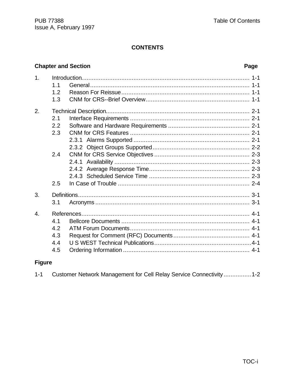# **CONTENTS**

# **Chapter and Section**

# Page

| $\mathbf 1$ .    | $1\;1$<br>1.2<br>1.3            |  |
|------------------|---------------------------------|--|
| 2.               | 2.1<br>2.2<br>2.3               |  |
|                  | 2.4<br>2.5                      |  |
| 3.               |                                 |  |
|                  | 3.1                             |  |
| $\overline{4}$ . | 4.1<br>4.2<br>4.3<br>4.4<br>4.5 |  |

# **Figure**

| $1 - 1$ | Customer Network Management for Cell Relay Service Connectivity1-2 |  |  |
|---------|--------------------------------------------------------------------|--|--|
|---------|--------------------------------------------------------------------|--|--|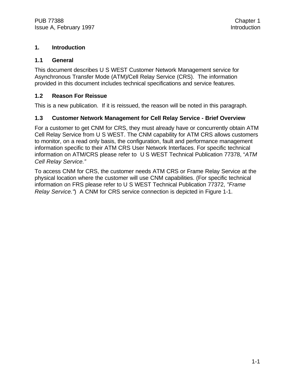### **1. Introduction**

#### **1.1 General**

This document describes U S WEST Customer Network Management service for Asynchronous Transfer Mode (ATM)/Cell Relay Service (CRS). The information provided in this document includes technical specifications and service features.

#### **1.2 Reason For Reissue**

This is a new publication. If it is reissued, the reason will be noted in this paragraph.

### **1.3 Customer Network Management for Cell Relay Service - Brief Overview**

For a customer to get CNM for CRS, they must already have or concurrently obtain ATM Cell Relay Service from U S WEST. The CNM capability for ATM CRS allows customers to monitor, on a read only basis, the configuration, fault and performance management information specific to their ATM CRS User Network Interfaces. For specific technical information on ATM/CRS please refer to U S WEST Technical Publication 77378, "*ATM Cell Relay Service."*

To access CNM for CRS, the customer needs ATM CRS or Frame Relay Service at the physical location where the customer will use CNM capabilities. (For specific technical information on FRS please refer to U S WEST Technical Publication 77372, *"Frame Relay Service."*) A CNM for CRS service connection is depicted in Figure 1-1.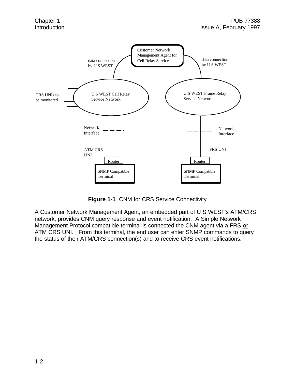

**Figure 1-1** CNM for CRS Service Connectivity

A Customer Network Management Agent, an embedded part of U S WEST's ATM/CRS network, provides CNM query response and event notification. A Simple Network Management Protocol compatible terminal is connected the CNM agent via a FRS or ATM CRS UNI. From this terminal, the end user can enter SNMP commands to query the status of their ATM/CRS connection(s) and to receive CRS event notifications.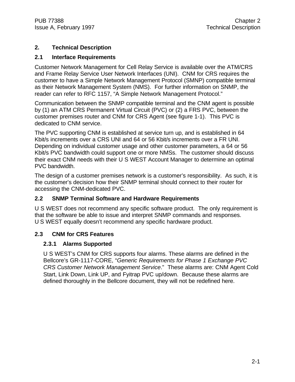# **2. Technical Description**

# **2.1 Interface Requirements**

Customer Network Management for Cell Relay Service is available over the ATM/CRS and Frame Relay Service User Network Interfaces (UNI). CNM for CRS requires the customer to have a Simple Network Management Protocol (SMNP) compatible terminal as their Network Management System (NMS). For further information on SNMP, the reader can refer to RFC 1157, "A Simple Network Management Protocol."

Communication between the SNMP compatible terminal and the CNM agent is possible by (1) an ATM CRS Permanent Virtual Circuit (PVC) or (2) a FRS PVC, between the customer premises router and CNM for CRS Agent (see figure 1-1). This PVC is dedicated to CNM service.

The PVC supporting CNM is established at service turn up, and is established in 64 Kbit/s increments over a CRS UNI and 64 or 56 Kbit/s increments over a FR UNI. Depending on individual customer usage and other customer parameters, a 64 or 56 Kbit/s PVC bandwidth could support one or more NMSs. The customer should discuss their exact CNM needs with their U S WEST Account Manager to determine an optimal PVC bandwidth.

The design of a customer premises network is a customer's responsibility. As such, it is the customer's decision how their SNMP terminal should connect to their router for accessing the CNM-dedicated PVC.

# **2.2 SNMP Terminal Software and Hardware Requirements**

U S WEST does not recommend any specific software product. The only requirement is that the software be able to issue and interpret SNMP commands and responses. U S WEST equally doesn't recommend any specific hardware product.

# **2.3 CNM for CRS Features**

# **2.3.1 Alarms Supported**

U S WEST's CNM for CRS supports four alarms. These alarms are defined in the Bellcore's GR-1117-CORE, "*Generic Requirements for Phase 1 Exchange PVC CRS Customer Network Management Service*." These alarms are: CNM Agent Cold Start, Link Down, Link UP, and Fyitrap PVC up/down. Because these alarms are defined thoroughly in the Bellcore document, they will not be redefined here.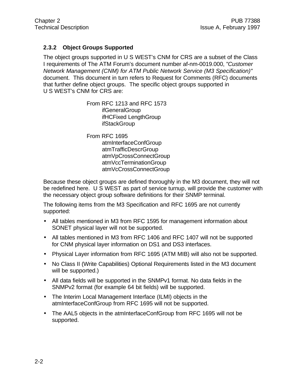## **2.3.2 Object Groups Supported**

The object groups supported in U S WEST's CNM for CRS are a subset of the Class I requirements of The ATM Forum's document number af-nm-0019.000, "*Customer Network Management (CNM) for ATM Public Network Service (M3 Specification)"* document. This document in turn refers to Request for Comments (RFC) documents that further define object groups. The specific object groups supported in U S WEST's CNM for CRS are:

> From RFC 1213 and RFC 1573 ifGeneralGroup ifHCFixed LengthGroup **ifStackGroup**

From RFC 1695 atmInterfaceConfGroup atmTrafficDescrGroup atmVpCrossConnectGroup atmVccTerminationGroup atmVcCrossConnectGroup

Because these object groups are defined thoroughly in the M3 document, they will not be redefined here. U S WEST as part of service turnup, will provide the customer with the necessary object group software definitions for their SNMP terminal.

The following items from the M3 Specification and RFC 1695 are not currently supported:

- All tables mentioned in M3 from RFC 1595 for management information about SONET physical layer will not be supported.
- All tables mentioned in M3 from RFC 1406 and RFC 1407 will not be supported for CNM physical layer information on DS1 and DS3 interfaces.
- Physical Layer information from RFC 1695 (ATM MIB) will also not be supported.
- No Class II (Write Capabilities) Optional Requirements listed in the M3 document will be supported.)
- All data fields will be supported in the SNMPv1 format. No data fields in the SNMPv2 format (for example 64 bit fields) will be supported.
- The Interim Local Management Interface (ILMI) objects in the atmInterfaceConfGroup from RFC 1695 will not be supported.
- The AAL5 objects in the atmInterfaceConfGroup from RFC 1695 will not be supported.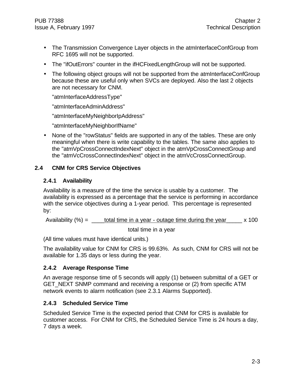- The Transmission Convergence Layer objects in the atmInterfaceConfGroup from RFC 1695 will not be supported.
- The "ifOutErrors" counter in the ifHCFixedLengthGroup will not be supported.
- The following object groups will not be supported from the atmInterfaceConfGroup because these are useful only when SVCs are deployed. Also the last 2 objects are not necessary for CNM.

"atmInterfaceAddressType"

"atmInterfaceAdminAddress"

"atmInterfaceMyNeighborIpAddress"

"atmInterfaceMyNeighborIfName"

• None of the "rowStatus" fields are supported in any of the tables. These are only meaningful when there is write capability to the tables. The same also applies to the "atmVpCrossConnectIndexNext" object in the atmVpCrossConnectGroup and the "atmVcCrossConnectIndexNext" object in the atmVcCrossConnectGroup.

# **2.4 CNM for CRS Service Objectives**

### **2.4.1 Availability**

Availability is a measure of the time the service is usable by a customer. The availability is expressed as a percentage that the service is performing in accordance with the service objectives during a 1-year period. This percentage is represented by:

Availability  $(\%) =$  \_\_\_\_total time in a year - outage time during the year  $\angle$  x 100

total time in a year

(All time values must have identical units.)

The availability value for CNM for CRS is 99.63%. As such, CNM for CRS will not be available for 1.35 days or less during the year.

# **2.4.2 Average Response Time**

An average response time of 5 seconds will apply (1) between submittal of a GET or GET NEXT SNMP command and receiving a response or (2) from specific ATM network events to alarm notification (see 2.3.1 Alarms Supported).

# **2.4.3 Scheduled Service Time**

Scheduled Service Time is the expected period that CNM for CRS is available for customer access. For CNM for CRS, the Scheduled Service Time is 24 hours a day, 7 days a week.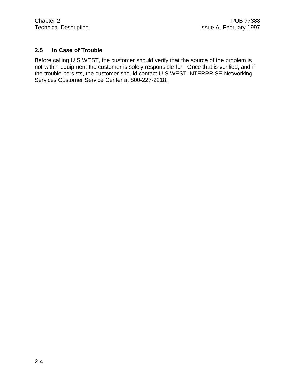# **2.5 In Case of Trouble**

Before calling U S WEST, the customer should verify that the source of the problem is not within equipment the customer is solely responsible for. Once that is verified, and if the trouble persists, the customer should contact U S WEST !NTERPRISE Networking Services Customer Service Center at 800-227-2218.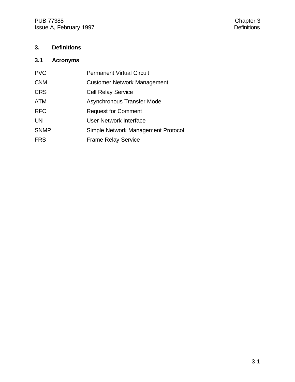PUB 77388<br>
Issue A, February 1997<br>
Chapter 3<br>
Chapter 3<br>
Chapter 3 Issue A, February 1997

# **3. Definitions**

# **3.1 Acronyms**

| <b>PVC</b>  | <b>Permanent Virtual Circuit</b>   |
|-------------|------------------------------------|
| <b>CNM</b>  | <b>Customer Network Management</b> |
| <b>CRS</b>  | <b>Cell Relay Service</b>          |
| <b>ATM</b>  | Asynchronous Transfer Mode         |
| <b>RFC</b>  | <b>Request for Comment</b>         |
| <b>UNI</b>  | User Network Interface             |
| <b>SNMP</b> | Simple Network Management Protocol |
| <b>FRS</b>  | <b>Frame Relay Service</b>         |
|             |                                    |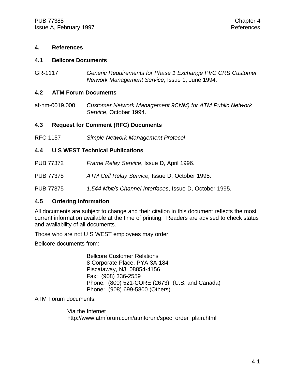#### **4. References**

#### **4.1 Bellcore Documents**

GR-1117 *Generic Requirements for Phase 1 Exchange PVC CRS Customer Network Management Service*, Issue 1, June 1994.

#### **4.2 ATM Forum Documents**

af-nm-0019.000 *Customer Network Management 9CNM) for ATM Public Network Service*, October 1994.

#### **4.3 Request for Comment (RFC) Documents**

RFC 1157 *Simple Network Management Protocol*

#### **4.4 U S WEST Technical Publications**

- PUB 77372 *Frame Relay Service*, Issue D, April 1996.
- PUB 77378 *ATM Cell Relay Service,* Issue D, October 1995.

PUB 77375 *1.544 Mbit/s Channel Interfaces*, Issue D, October 1995.

#### **4.5 Ordering Information**

All documents are subject to change and their citation in this document reflects the most current information available at the time of printing. Readers are advised to check status and availability of all documents.

Those who are not U S WEST employees may order;

Bellcore documents from:

Bellcore Customer Relations 8 Corporate Place, PYA 3A-184 Piscataway, NJ 08854-4156 Fax: (908) 336-2559 Phone: (800) 521-CORE (2673) (U.S. and Canada) Phone: (908) 699-5800 (Others)

ATM Forum documents:

Via the Internet http://www.atmforum.com/atmforum/spec\_order\_plain.html